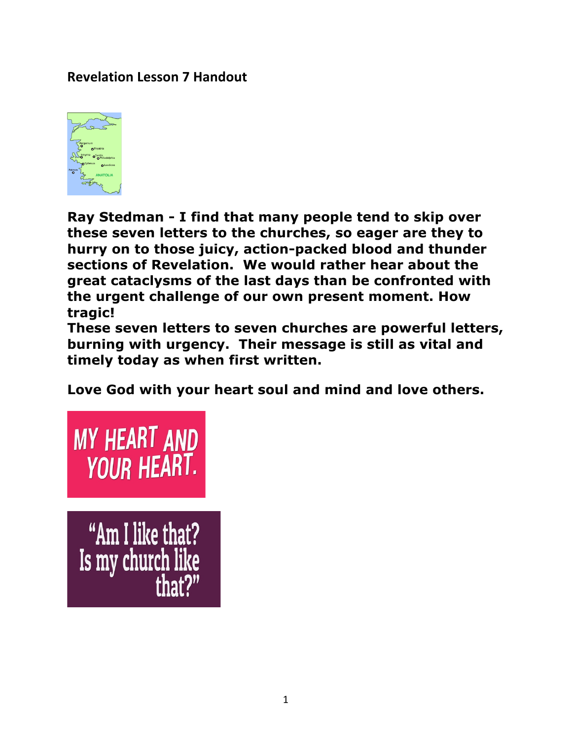## **Revelation Lesson 7 Handout**



**Ray Stedman - I find that many people tend to skip over these seven letters to the churches, so eager are they to hurry on to those juicy, action-packed blood and thunder sections of Revelation. We would rather hear about the great cataclysms of the last days than be confronted with the urgent challenge of our own present moment. How tragic!**

**These seven letters to seven churches are powerful letters, burning with urgency. Their message is still as vital and timely today as when first written.** 

**Love God with your heart soul and mind and love others.**

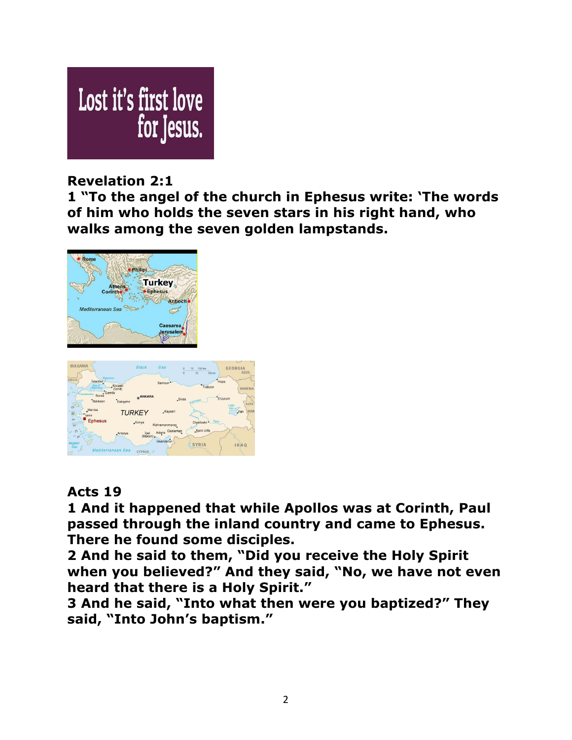

# **Revelation 2:1**

**1 "To the angel of the church in Ephesus write: 'The words of him who holds the seven stars in his right hand, who walks among the seven golden lampstands.** 





# **Acts 19**

**1 And it happened that while Apollos was at Corinth, Paul passed through the inland country and came to Ephesus. There he found some disciples.** 

**2 And he said to them, "Did you receive the Holy Spirit when you believed?" And they said, "No, we have not even heard that there is a Holy Spirit."** 

**3 And he said, "Into what then were you baptized?" They said, "Into John's baptism."**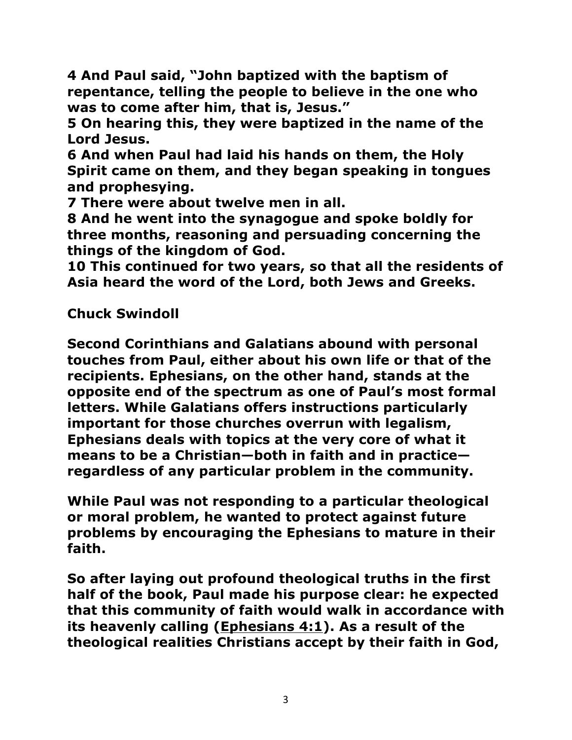**4 And Paul said, "John baptized with the baptism of repentance, telling the people to believe in the one who was to come after him, that is, Jesus."** 

**5 On hearing this, they were baptized in the name of the Lord Jesus.** 

**6 And when Paul had laid his hands on them, the Holy Spirit came on them, and they began speaking in tongues and prophesying.**

**7 There were about twelve men in all.** 

**8 And he went into the synagogue and spoke boldly for three months, reasoning and persuading concerning the things of the kingdom of God.** 

**10 This continued for two years, so that all the residents of Asia heard the word of the Lord, both Jews and Greeks.** 

**Chuck Swindoll** 

**Second Corinthians and Galatians abound with personal touches from Paul, either about his own life or that of the recipients. Ephesians, on the other hand, stands at the opposite end of the spectrum as one of Paul's most formal letters. While Galatians offers instructions particularly important for those churches overrun with legalism, Ephesians deals with topics at the very core of what it means to be a Christian—both in faith and in practice regardless of any particular problem in the community.**

**While Paul was not responding to a particular theological or moral problem, he wanted to protect against future problems by encouraging the Ephesians to mature in their faith.** 

**So after laying out profound theological truths in the first half of the book, Paul made his purpose clear: he expected that this community of faith would walk in accordance with its heavenly calling (Ephesians 4:1). As a result of the theological realities Christians accept by their faith in God,**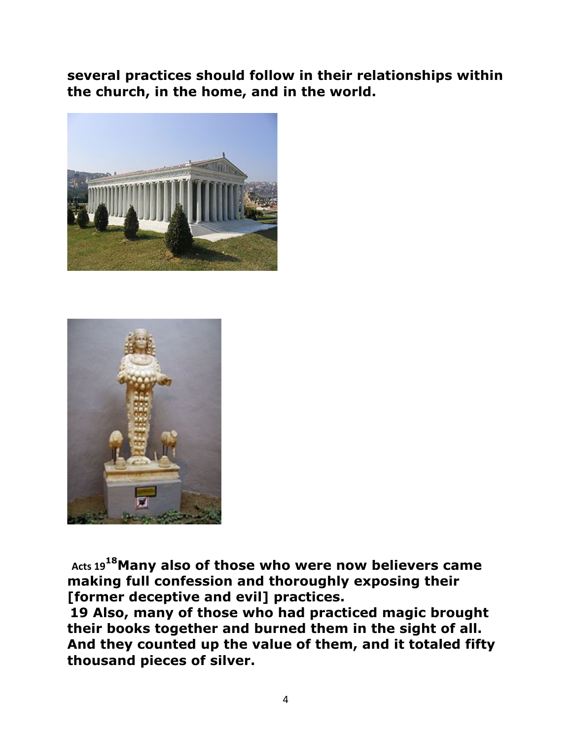**several practices should follow in their relationships within the church, in the home, and in the world.**





Acts 19<sup>18</sup>Many also of those who were now believers came **making full confession and thoroughly exposing their [former deceptive and evil] practices.** 

**19 Also, many of those who had practiced magic brought their books together and burned them in the sight of all. And they counted up the value of them, and it totaled fifty thousand pieces of silver.**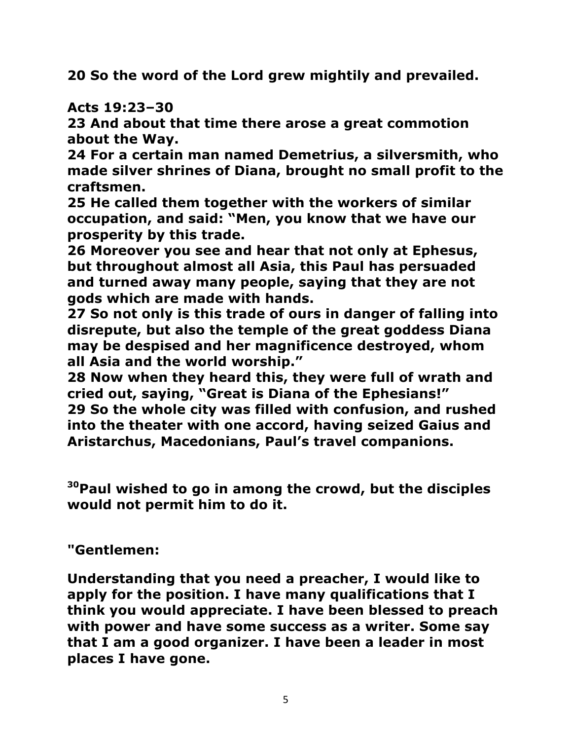**20 So the word of the Lord grew mightily and prevailed.** 

# **Acts 19:23–30**

**23 And about that time there arose a great commotion about the Way.** 

**24 For a certain man named Demetrius, a silversmith, who made silver shrines of Diana, brought no small profit to the craftsmen.** 

**25 He called them together with the workers of similar occupation, and said: "Men, you know that we have our prosperity by this trade.** 

**26 Moreover you see and hear that not only at Ephesus, but throughout almost all Asia, this Paul has persuaded and turned away many people, saying that they are not gods which are made with hands.** 

**27 So not only is this trade of ours in danger of falling into disrepute, but also the temple of the great goddess Diana may be despised and her magnificence destroyed, whom all Asia and the world worship."** 

**28 Now when they heard this, they were full of wrath and cried out, saying, "Great is Diana of the Ephesians!" 29 So the whole city was filled with confusion, and rushed into the theater with one accord, having seized Gaius and Aristarchus, Macedonians, Paul's travel companions.** 

**30Paul wished to go in among the crowd, but the disciples would not permit him to do it.** 

**"Gentlemen:**

**Understanding that you need a preacher, I would like to apply for the position. I have many qualifications that I think you would appreciate. I have been blessed to preach with power and have some success as a writer. Some say that I am a good organizer. I have been a leader in most places I have gone.**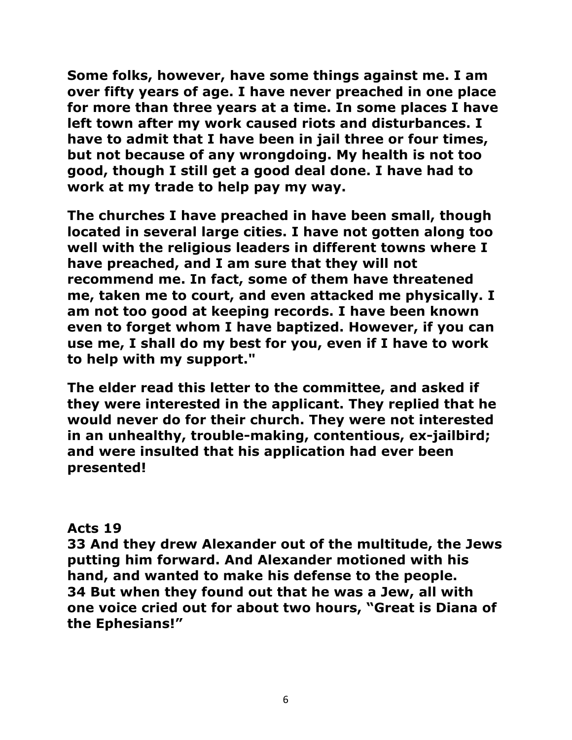**Some folks, however, have some things against me. I am over fifty years of age. I have never preached in one place for more than three years at a time. In some places I have left town after my work caused riots and disturbances. I have to admit that I have been in jail three or four times, but not because of any wrongdoing. My health is not too good, though I still get a good deal done. I have had to work at my trade to help pay my way.**

**The churches I have preached in have been small, though located in several large cities. I have not gotten along too well with the religious leaders in different towns where I have preached, and I am sure that they will not recommend me. In fact, some of them have threatened me, taken me to court, and even attacked me physically. I am not too good at keeping records. I have been known even to forget whom I have baptized. However, if you can use me, I shall do my best for you, even if I have to work to help with my support."**

**The elder read this letter to the committee, and asked if they were interested in the applicant. They replied that he would never do for their church. They were not interested in an unhealthy, trouble-making, contentious, ex-jailbird; and were insulted that his application had ever been presented!** 

#### **Acts 19**

**33 And they drew Alexander out of the multitude, the Jews putting him forward. And Alexander motioned with his hand, and wanted to make his defense to the people. 34 But when they found out that he was a Jew, all with one voice cried out for about two hours, "Great is Diana of the Ephesians!"**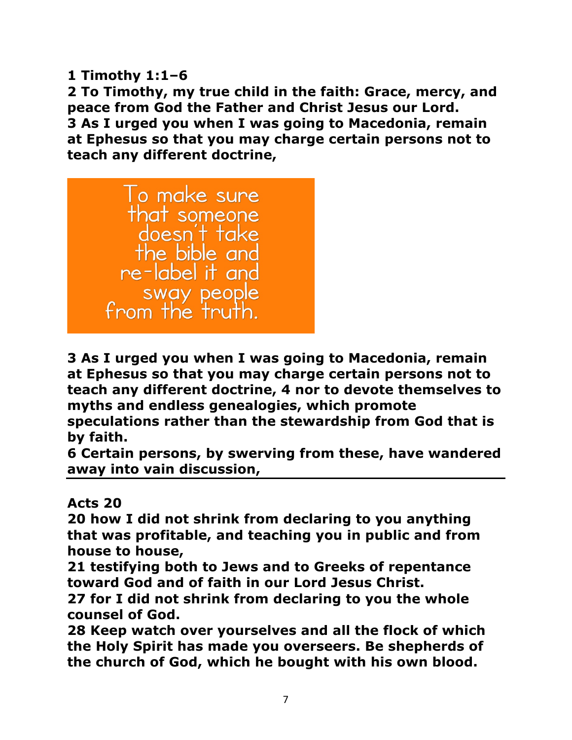**1 Timothy 1:1–6** 

**2 To Timothy, my true child in the faith: Grace, mercy, and peace from God the Father and Christ Jesus our Lord. 3 As I urged you when I was going to Macedonia, remain at Ephesus so that you may charge certain persons not to teach any different doctrine,** 



**3 As I urged you when I was going to Macedonia, remain at Ephesus so that you may charge certain persons not to teach any different doctrine, 4 nor to devote themselves to myths and endless genealogies, which promote speculations rather than the stewardship from God that is by faith.** 

**6 Certain persons, by swerving from these, have wandered away into vain discussion,** 

**Acts 20** 

**20 how I did not shrink from declaring to you anything that was profitable, and teaching you in public and from house to house,** 

**21 testifying both to Jews and to Greeks of repentance toward God and of faith in our Lord Jesus Christ.** 

**27 for I did not shrink from declaring to you the whole counsel of God.** 

**28 Keep watch over yourselves and all the flock of which the Holy Spirit has made you overseers. Be shepherds of the church of God, which he bought with his own blood.**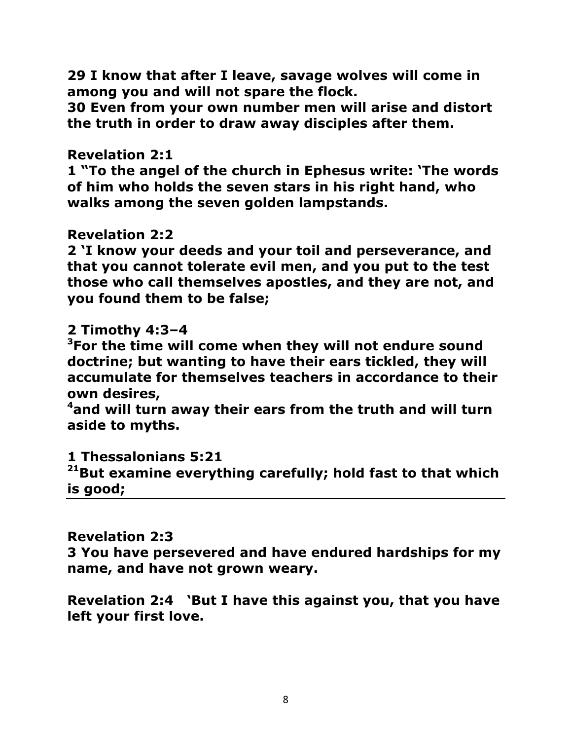**29 I know that after I leave, savage wolves will come in among you and will not spare the flock.** 

**30 Even from your own number men will arise and distort the truth in order to draw away disciples after them.** 

### **Revelation 2:1**

**1 "To the angel of the church in Ephesus write: 'The words of him who holds the seven stars in his right hand, who walks among the seven golden lampstands.** 

### **Revelation 2:2**

**2 'I know your deeds and your toil and perseverance, and that you cannot tolerate evil men, and you put to the test those who call themselves apostles, and they are not, and you found them to be false;** 

# **2 Timothy 4:3–4**

**3 For the time will come when they will not endure sound doctrine; but wanting to have their ears tickled, they will accumulate for themselves teachers in accordance to their own desires,** 

**4 and will turn away their ears from the truth and will turn aside to myths.** 

**1 Thessalonians 5:21** 

**21But examine everything carefully; hold fast to that which is good;** 

**Revelation 2:3** 

**3 You have persevered and have endured hardships for my name, and have not grown weary.** 

**Revelation 2:4 'But I have this against you, that you have left your first love.**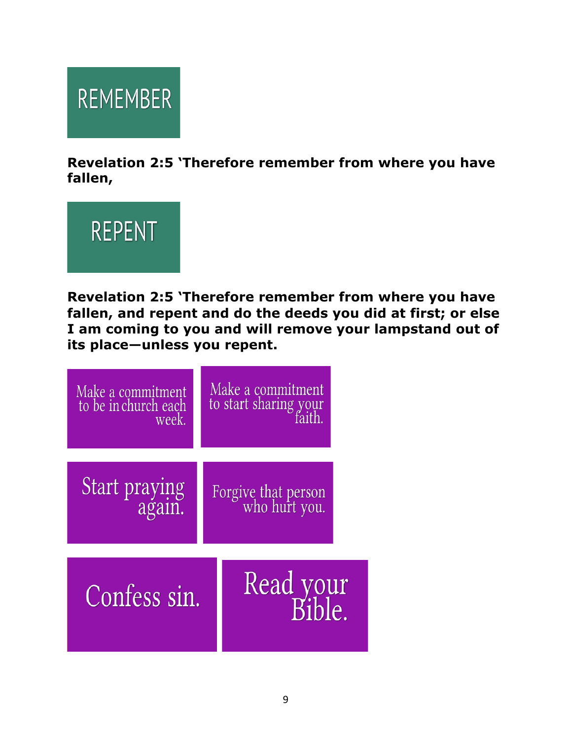

**Revelation 2:5 'Therefore remember from where you have fallen,**



**Revelation 2:5 'Therefore remember from where you have fallen, and repent and do the deeds you did at first; or else I am coming to you and will remove your lampstand out of its place—unless you repent.**